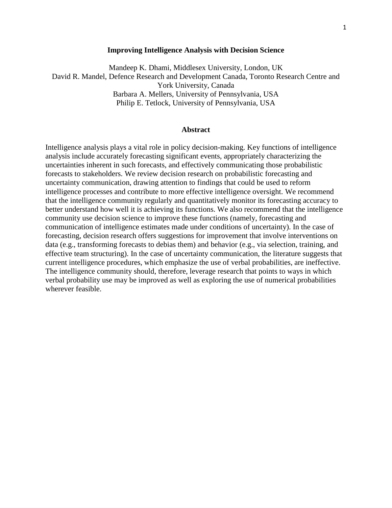### **Improving Intelligence Analysis with Decision Science**

Mandeep K. Dhami, Middlesex University, London, UK David R. Mandel, Defence Research and Development Canada, Toronto Research Centre and York University, Canada Barbara A. Mellers, University of Pennsylvania, USA Philip E. Tetlock, University of Pennsylvania, USA

#### **Abstract**

Intelligence analysis plays a vital role in policy decision-making. Key functions of intelligence analysis include accurately forecasting significant events, appropriately characterizing the uncertainties inherent in such forecasts, and effectively communicating those probabilistic forecasts to stakeholders. We review decision research on probabilistic forecasting and uncertainty communication, drawing attention to findings that could be used to reform intelligence processes and contribute to more effective intelligence oversight. We recommend that the intelligence community regularly and quantitatively monitor its forecasting accuracy to better understand how well it is achieving its functions. We also recommend that the intelligence community use decision science to improve these functions (namely, forecasting and communication of intelligence estimates made under conditions of uncertainty). In the case of forecasting, decision research offers suggestions for improvement that involve interventions on data (e.g., transforming forecasts to debias them) and behavior (e.g., via selection, training, and effective team structuring). In the case of uncertainty communication, the literature suggests that current intelligence procedures, which emphasize the use of verbal probabilities, are ineffective. The intelligence community should, therefore, leverage research that points to ways in which verbal probability use may be improved as well as exploring the use of numerical probabilities wherever feasible.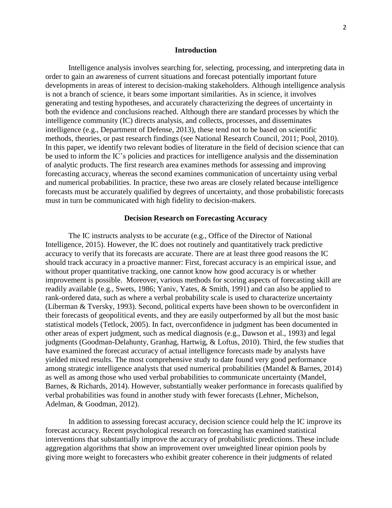### **Introduction**

Intelligence analysis involves searching for, selecting, processing, and interpreting data in order to gain an awareness of current situations and forecast potentially important future developments in areas of interest to decision-making stakeholders. Although intelligence analysis is not a branch of science, it bears some important similarities. As in science, it involves generating and testing hypotheses, and accurately characterizing the degrees of uncertainty in both the evidence and conclusions reached. Although there are standard processes by which the intelligence community (IC) directs analysis, and collects, processes, and disseminates intelligence (e.g., Department of Defense, 2013), these tend not to be based on scientific methods, theories, or past research findings (see National Research Council, 2011; Pool, 2010). In this paper, we identify two relevant bodies of literature in the field of decision science that can be used to inform the IC's policies and practices for intelligence analysis and the dissemination of analytic products. The first research area examines methods for assessing and improving forecasting accuracy, whereas the second examines communication of uncertainty using verbal and numerical probabilities. In practice, these two areas are closely related because intelligence forecasts must be accurately qualified by degrees of uncertainty, and those probabilistic forecasts must in turn be communicated with high fidelity to decision-makers.

# **Decision Research on Forecasting Accuracy**

The IC instructs analysts to be accurate (e.g., Office of the Director of National Intelligence, 2015). However, the IC does not routinely and quantitatively track predictive accuracy to verify that its forecasts are accurate. There are at least three good reasons the IC should track accuracy in a proactive manner: First, forecast accuracy is an empirical issue, and without proper quantitative tracking, one cannot know how good accuracy is or whether improvement is possible. Moreover, various methods for scoring aspects of forecasting skill are readily available (e.g., Swets, 1986; Yaniv, Yates, & Smith, 1991) and can also be applied to rank-ordered data, such as where a verbal probability scale is used to characterize uncertainty (Liberman & Tversky, 1993). Second, political experts have been shown to be overconfident in their forecasts of geopolitical events, and they are easily outperformed by all but the most basic statistical models (Tetlock, 2005). In fact, overconfidence in judgment has been documented in other areas of expert judgment, such as medical diagnosis (e.g., Dawson et al., 1993) and legal judgments (Goodman-Delahunty, Granhag, Hartwig, & Loftus, 2010). Third, the few studies that have examined the forecast accuracy of actual intelligence forecasts made by analysts have yielded mixed results. The most comprehensive study to date found very good performance among strategic intelligence analysts that used numerical probabilities (Mandel & Barnes, 2014) as well as among those who used verbal probabilities to communicate uncertainty (Mandel, Barnes, & Richards, 2014). However, substantially weaker performance in forecasts qualified by verbal probabilities was found in another study with fewer forecasts (Lehner, Michelson, Adelman, & Goodman, 2012).

In addition to assessing forecast accuracy, decision science could help the IC improve its forecast accuracy. Recent psychological research on forecasting has examined statistical interventions that substantially improve the accuracy of probabilistic predictions. These include aggregation algorithms that show an improvement over unweighted linear opinion pools by giving more weight to forecasters who exhibit greater coherence in their judgments of related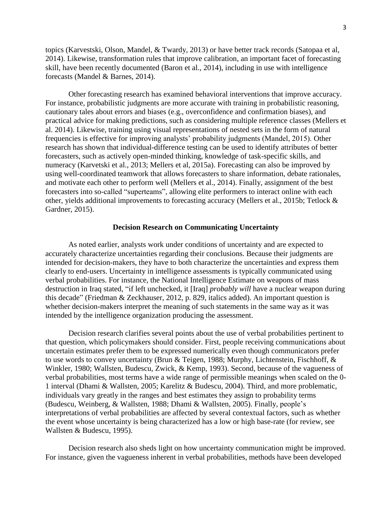topics (Karvestski, Olson, Mandel, & Twardy, 2013) or have better track records (Satopaa et al, 2014). Likewise, transformation rules that improve calibration, an important facet of forecasting skill, have been recently documented (Baron et al., 2014), including in use with intelligence forecasts (Mandel & Barnes, 2014).

Other forecasting research has examined behavioral interventions that improve accuracy. For instance, probabilistic judgments are more accurate with training in probabilistic reasoning, cautionary tales about errors and biases (e.g., overconfidence and confirmation biases), and practical advice for making predictions, such as considering multiple reference classes (Mellers et al. 2014). Likewise, training using visual representations of nested sets in the form of natural frequencies is effective for improving analysts' probability judgments (Mandel, 2015). Other research has shown that individual-difference testing can be used to identify attributes of better forecasters, such as actively open-minded thinking, knowledge of task-specific skills, and numeracy (Karvetski et al., 2013; Mellers et al, 2015a). Forecasting can also be improved by using well-coordinated teamwork that allows forecasters to share information, debate rationales, and motivate each other to perform well (Mellers et al., 2014). Finally, assignment of the best forecasters into so-called "superteams", allowing elite performers to interact online with each other, yields additional improvements to forecasting accuracy (Mellers et al., 2015b; Tetlock & Gardner, 2015).

## **Decision Research on Communicating Uncertainty**

As noted earlier, analysts work under conditions of uncertainty and are expected to accurately characterize uncertainties regarding their conclusions. Because their judgments are intended for decision-makers, they have to both characterize the uncertainties and express them clearly to end-users. Uncertainty in intelligence assessments is typically communicated using verbal probabilities. For instance, the National Intelligence Estimate on weapons of mass destruction in Iraq stated, "if left unchecked, it [Iraq] *probably will* have a nuclear weapon during this decade" (Friedman & Zeckhauser, 2012, p. 829, italics added). An important question is whether decision-makers interpret the meaning of such statements in the same way as it was intended by the intelligence organization producing the assessment.

Decision research clarifies several points about the use of verbal probabilities pertinent to that question, which policymakers should consider. First, people receiving communications about uncertain estimates prefer them to be expressed numerically even though communicators prefer to use words to convey uncertainty (Brun & Teigen, 1988; Murphy, Lichtenstein, Fischhoff, & Winkler, 1980; Wallsten, Budescu, Zwick, & Kemp, 1993). Second, because of the vagueness of verbal probabilities, most terms have a wide range of permissible meanings when scaled on the 0- 1 interval (Dhami & Wallsten, 2005; Karelitz & Budescu, 2004). Third, and more problematic, individuals vary greatly in the ranges and best estimates they assign to probability terms (Budescu, Weinberg, & Wallsten, 1988; Dhami & Wallsten, 2005). Finally, people's interpretations of verbal probabilities are affected by several contextual factors, such as whether the event whose uncertainty is being characterized has a low or high base-rate (for review, see Wallsten & Budescu, 1995).

Decision research also sheds light on how uncertainty communication might be improved. For instance, given the vagueness inherent in verbal probabilities, methods have been developed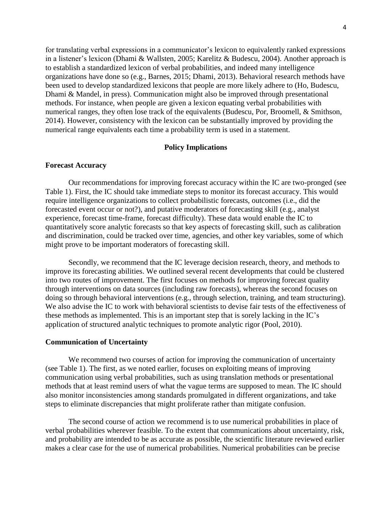for translating verbal expressions in a communicator's lexicon to equivalently ranked expressions in a listener's lexicon (Dhami & Wallsten, 2005; Karelitz & Budescu, 2004). Another approach is to establish a standardized lexicon of verbal probabilities, and indeed many intelligence organizations have done so (e.g., Barnes, 2015; Dhami, 2013). Behavioral research methods have been used to develop standardized lexicons that people are more likely adhere to (Ho, Budescu, Dhami & Mandel, in press). Communication might also be improved through presentational methods. For instance, when people are given a lexicon equating verbal probabilities with numerical ranges, they often lose track of the equivalents (Budescu, Por, Broomell, & Smithson, 2014). However, consistency with the lexicon can be substantially improved by providing the numerical range equivalents each time a probability term is used in a statement.

# **Policy Implications**

# **Forecast Accuracy**

Our recommendations for improving forecast accuracy within the IC are two-pronged (see Table 1). First, the IC should take immediate steps to monitor its forecast accuracy. This would require intelligence organizations to collect probabilistic forecasts, outcomes (i.e., did the forecasted event occur or not?), and putative moderators of forecasting skill (e.g., analyst experience, forecast time-frame, forecast difficulty). These data would enable the IC to quantitatively score analytic forecasts so that key aspects of forecasting skill, such as calibration and discrimination, could be tracked over time, agencies, and other key variables, some of which might prove to be important moderators of forecasting skill.

Secondly, we recommend that the IC leverage decision research, theory, and methods to improve its forecasting abilities. We outlined several recent developments that could be clustered into two routes of improvement. The first focuses on methods for improving forecast quality through interventions on data sources (including raw forecasts), whereas the second focuses on doing so through behavioral interventions (e.g., through selection, training, and team structuring). We also advise the IC to work with behavioral scientists to devise fair tests of the effectiveness of these methods as implemented. This is an important step that is sorely lacking in the IC's application of structured analytic techniques to promote analytic rigor (Pool, 2010).

## **Communication of Uncertainty**

We recommend two courses of action for improving the communication of uncertainty (see Table 1). The first, as we noted earlier, focuses on exploiting means of improving communication using verbal probabilities, such as using translation methods or presentational methods that at least remind users of what the vague terms are supposed to mean. The IC should also monitor inconsistencies among standards promulgated in different organizations, and take steps to eliminate discrepancies that might proliferate rather than mitigate confusion.

The second course of action we recommend is to use numerical probabilities in place of verbal probabilities wherever feasible. To the extent that communications about uncertainty, risk, and probability are intended to be as accurate as possible, the scientific literature reviewed earlier makes a clear case for the use of numerical probabilities. Numerical probabilities can be precise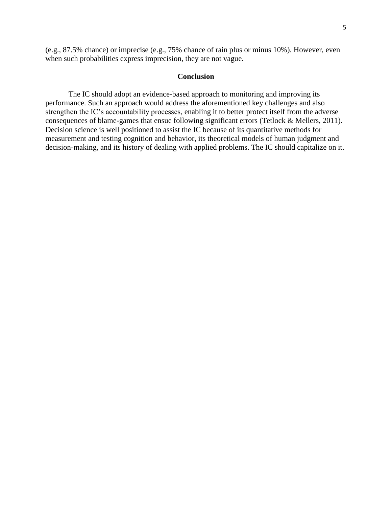(e.g., 87.5% chance) or imprecise (e.g., 75% chance of rain plus or minus 10%). However, even when such probabilities express imprecision, they are not vague.

#### **Conclusion**

The IC should adopt an evidence-based approach to monitoring and improving its performance. Such an approach would address the aforementioned key challenges and also strengthen the IC's accountability processes, enabling it to better protect itself from the adverse consequences of blame-games that ensue following significant errors (Tetlock & Mellers, 2011). Decision science is well positioned to assist the IC because of its quantitative methods for measurement and testing cognition and behavior, its theoretical models of human judgment and decision-making, and its history of dealing with applied problems. The IC should capitalize on it.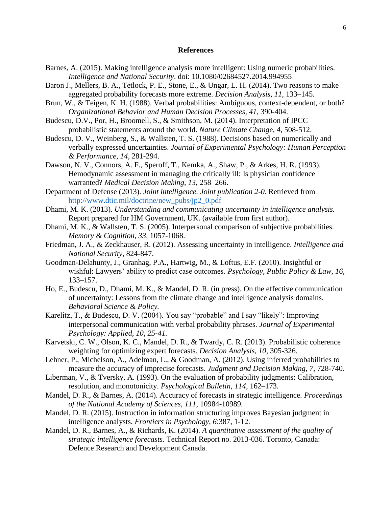# **References**

- Barnes, A. (2015). Making intelligence analysis more intelligent: Using numeric probabilities. *Intelligence and National Security*. doi: 10.1080/02684527.2014.994955
- Baron J., Mellers, B. A., Tetlock, P. E., Stone, E., & Ungar, L. H. (2014). Two reasons to make aggregated probability forecasts more extreme. *Decision Analysis, 11*, 133**–**145.
- Brun, W., & Teigen, K. H. (1988). Verbal probabilities: Ambiguous, context-dependent, or both? *Organizational Behavior and Human Decision Processes, 41*, 390-404.
- Budescu, D.V., Por, H., Broomell, S., & Smithson, M. (2014). Interpretation of IPCC probabilistic statements around the world. *Nature Climate Change, 4*, 508-512.
- Budescu, D. V., Weinberg, S., & Wallsten, T. S. (1988). Decisions based on numerically and verbally expressed uncertainties. *Journal of Experimental Psychology: Human Perception & Performance*, *14,* 281-294.
- Dawson, N. V., Connors, A. F., Speroff, T., Kemka, A., Shaw, P., & Arkes, H. R. (1993). Hemodynamic assessment in managing the critically ill: Is physician confidence warranted? *Medical Decision Making, 13*, 258–266.
- Department of Defense (2013). *Joint intelligence. Joint publication 2-0.* Retrieved from [http://www.dtic.mil/doctrine/new\\_pubs/jp2\\_0.pdf](http://www.dtic.mil/doctrine/new_pubs/jp2_0.pdf)
- Dhami, M. K. (2013). *Understanding and communicating uncertainty in intelligence analysis.* Report prepared for HM Government, UK. (available from first author).
- Dhami, M. K., & Wallsten, T. S. (2005). Interpersonal comparison of subjective probabilities. *Memory & Cognition, 33,* 1057-1068.
- Friedman, J. A., & Zeckhauser, R. (2012). Assessing uncertainty in intelligence. *Intelligence and National Security,* 824-847.
- Goodman-Delahunty, J., Granhag, P.A., Hartwig, M., & Loftus, E.F. (2010). Insightful or wishful: Lawyers' ability to predict case outcomes. *Psychology, Public Policy & Law, 16*, 133–157.
- Ho, E., Budescu, D., Dhami, M. K., & Mandel, D. R. (in press). On the effective communication of uncertainty: Lessons from the climate change and intelligence analysis domains. *Behavioral Science & Policy.*
- Karelitz, T., & Budescu, D. V. (2004). You say "probable" and I say "likely": Improving interpersonal communication with verbal probability phrases. *Journal of Experimental Psychology: Applied, 10, 25-41.*
- Karvetski, C. W., Olson, K. C., Mandel, D. R., & Twardy, C. R. (2013). Probabilistic coherence weighting for optimizing expert forecasts. *Decision Analysis, 10*, 305-326.
- Lehner, P., Michelson, A., Adelman, L., & Goodman, A. (2012). Using inferred probabilities to measure the accuracy of imprecise forecasts. *Judgment and Decision Making, 7,* 728-740.
- Liberman, V., & Tversky, A. (1993). On the evaluation of probability judgments: Calibration, resolution, and monotonicity. *Psychological Bulletin, 114*, 162–173.
- Mandel, D. R., & Barnes, A. (2014). Accuracy of forecasts in strategic intelligence. *Proceedings of the National Academy of Sciences, 111*, 10984-10989*.*
- Mandel, D. R. (2015). Instruction in information structuring improves Bayesian judgment in intelligence analysts. *Frontiers in Psychology, 6*:387, 1-12.
- Mandel, D. R., Barnes, A., & Richards, K. (2014). *A quantitative assessment of the quality of strategic intelligence forecasts*. Technical Report no. 2013-036. Toronto, Canada: Defence Research and Development Canada.